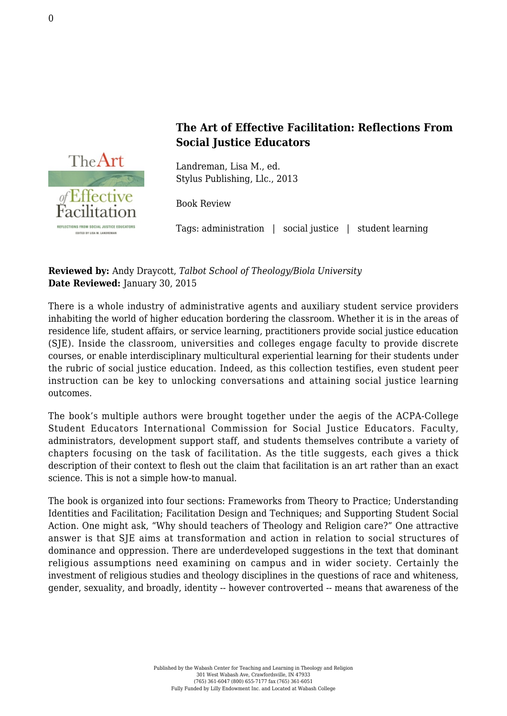

## **The Art of Effective Facilitation: Reflections From Social Justice Educators**

Landreman, Lisa M., ed. [Stylus Publishing, Llc., 2013](http://stylus.styluspub.com/Books/BookDetail.aspx?productID=354739)

Book Review

Tags: administration | social justice | student learning

**Reviewed by:** Andy Draycott, *Talbot School of Theology/Biola University* **Date Reviewed:** January 30, 2015

There is a whole industry of administrative agents and auxiliary student service providers inhabiting the world of higher education bordering the classroom. Whether it is in the areas of residence life, student affairs, or service learning, practitioners provide social justice education (SJE). Inside the classroom, universities and colleges engage faculty to provide discrete courses, or enable interdisciplinary multicultural experiential learning for their students under the rubric of social justice education. Indeed, as this collection testifies, even student peer instruction can be key to unlocking conversations and attaining social justice learning outcomes.

The book's multiple authors were brought together under the aegis of the ACPA-College Student Educators International Commission for Social Justice Educators. Faculty, administrators, development support staff, and students themselves contribute a variety of chapters focusing on the task of facilitation. As the title suggests, each gives a thick description of their context to flesh out the claim that facilitation is an art rather than an exact science. This is not a simple how-to manual.

The book is organized into four sections: Frameworks from Theory to Practice; Understanding Identities and Facilitation; Facilitation Design and Techniques; and Supporting Student Social Action. One might ask, "Why should teachers of Theology and Religion care?" One attractive answer is that SJE aims at transformation and action in relation to social structures of dominance and oppression. There are underdeveloped suggestions in the text that dominant religious assumptions need examining on campus and in wider society. Certainly the investment of religious studies and theology disciplines in the questions of race and whiteness, gender, sexuality, and broadly, identity -- however controverted -- means that awareness of the